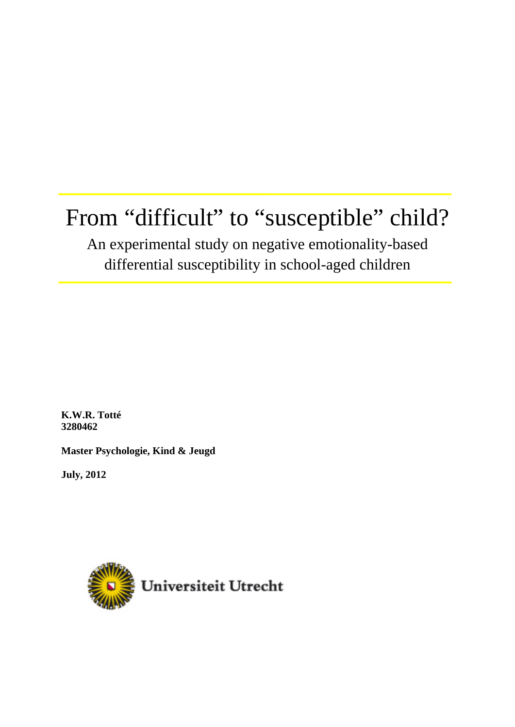# From "difficult" to "susceptible" child?

# An experimental study on negative emotionality-based differential susceptibility in school-aged children

**K.W.R. Totté 3280462** 

**Master Psychologie, Kind & Jeugd** 

**July, 2012** 

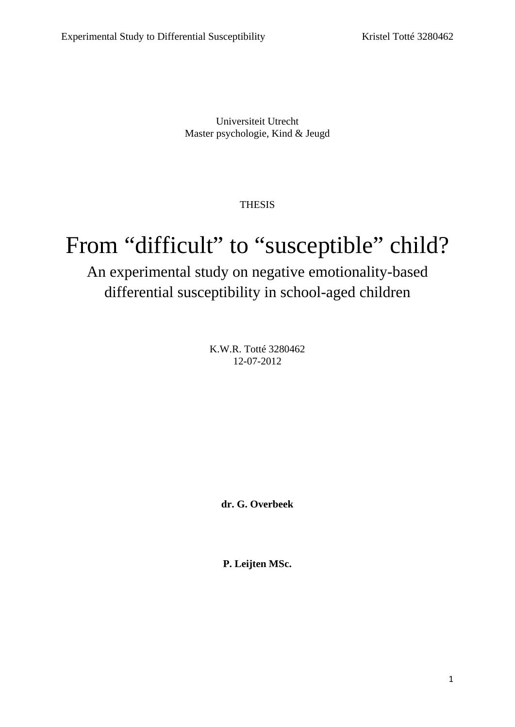Universiteit Utrecht Master psychologie, Kind & Jeugd

THESIS

# From "difficult" to "susceptible" child?

# An experimental study on negative emotionality-based differential susceptibility in school-aged children

K.W.R. Totté 3280462 12-07-2012

**dr. G. Overbeek** 

**P. Leijten MSc.**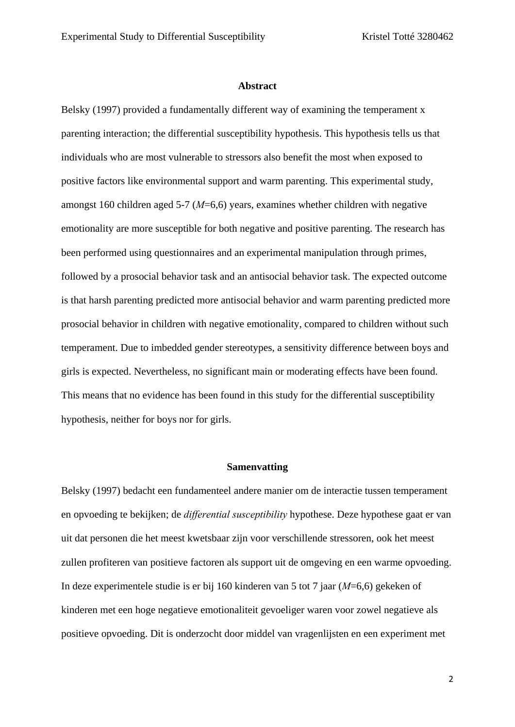#### **Abstract**

Belsky (1997) provided a fundamentally different way of examining the temperament x parenting interaction; the differential susceptibility hypothesis. This hypothesis tells us that individuals who are most vulnerable to stressors also benefit the most when exposed to positive factors like environmental support and warm parenting. This experimental study, amongst 160 children aged 5-7 (*M*=6,6) years, examines whether children with negative emotionality are more susceptible for both negative and positive parenting. The research has been performed using questionnaires and an experimental manipulation through primes, followed by a prosocial behavior task and an antisocial behavior task. The expected outcome is that harsh parenting predicted more antisocial behavior and warm parenting predicted more prosocial behavior in children with negative emotionality, compared to children without such temperament. Due to imbedded gender stereotypes, a sensitivity difference between boys and girls is expected. Nevertheless, no significant main or moderating effects have been found. This means that no evidence has been found in this study for the differential susceptibility hypothesis, neither for boys nor for girls.

#### **Samenvatting**

Belsky (1997) bedacht een fundamenteel andere manier om de interactie tussen temperament en opvoeding te bekijken; de *differential susceptibility* hypothese. Deze hypothese gaat er van uit dat personen die het meest kwetsbaar zijn voor verschillende stressoren, ook het meest zullen profiteren van positieve factoren als support uit de omgeving en een warme opvoeding. In deze experimentele studie is er bij 160 kinderen van 5 tot 7 jaar (*M*=6,6) gekeken of kinderen met een hoge negatieve emotionaliteit gevoeliger waren voor zowel negatieve als positieve opvoeding. Dit is onderzocht door middel van vragenlijsten en een experiment met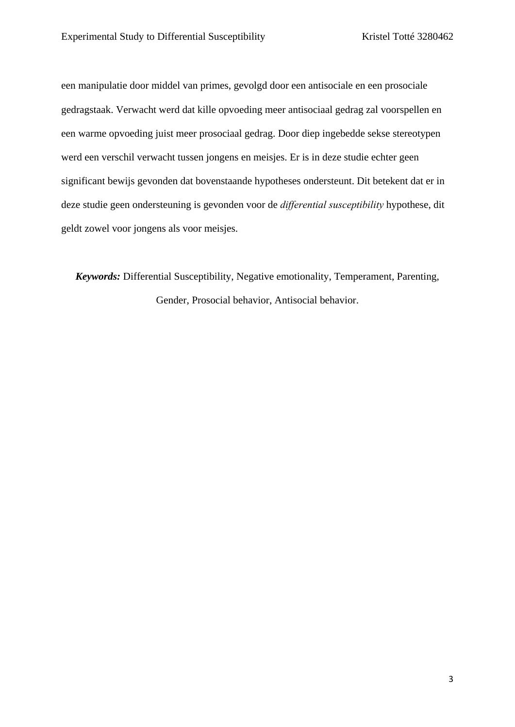een manipulatie door middel van primes, gevolgd door een antisociale en een prosociale gedragstaak. Verwacht werd dat kille opvoeding meer antisociaal gedrag zal voorspellen en een warme opvoeding juist meer prosociaal gedrag. Door diep ingebedde sekse stereotypen werd een verschil verwacht tussen jongens en meisjes. Er is in deze studie echter geen significant bewijs gevonden dat bovenstaande hypotheses ondersteunt. Dit betekent dat er in deze studie geen ondersteuning is gevonden voor de *differential susceptibility* hypothese, dit geldt zowel voor jongens als voor meisjes.

*Keywords:* Differential Susceptibility, Negative emotionality, Temperament, Parenting, Gender, Prosocial behavior, Antisocial behavior.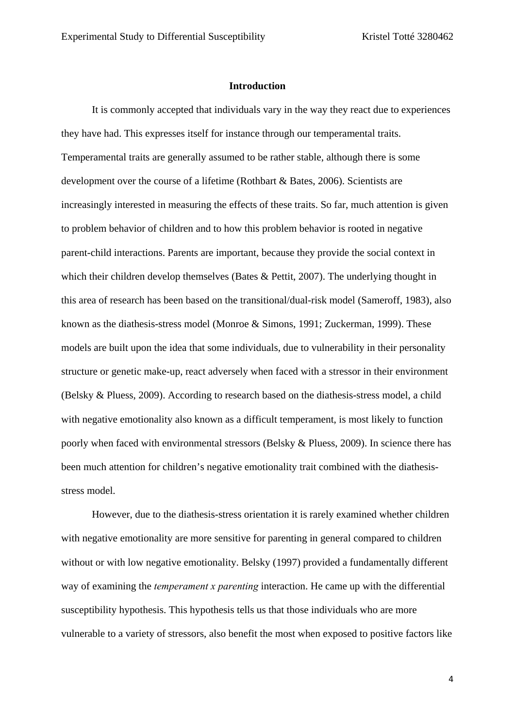#### **Introduction**

It is commonly accepted that individuals vary in the way they react due to experiences they have had. This expresses itself for instance through our temperamental traits. Temperamental traits are generally assumed to be rather stable, although there is some development over the course of a lifetime (Rothbart & Bates, 2006). Scientists are increasingly interested in measuring the effects of these traits. So far, much attention is given to problem behavior of children and to how this problem behavior is rooted in negative parent-child interactions. Parents are important, because they provide the social context in which their children develop themselves (Bates & Pettit, 2007). The underlying thought in this area of research has been based on the transitional/dual-risk model (Sameroff, 1983), also known as the diathesis-stress model (Monroe & Simons, 1991; Zuckerman, 1999). These models are built upon the idea that some individuals, due to vulnerability in their personality structure or genetic make-up, react adversely when faced with a stressor in their environment (Belsky & Pluess, 2009). According to research based on the diathesis-stress model, a child with negative emotionality also known as a difficult temperament, is most likely to function poorly when faced with environmental stressors (Belsky & Pluess, 2009). In science there has been much attention for children's negative emotionality trait combined with the diathesisstress model.

However, due to the diathesis-stress orientation it is rarely examined whether children with negative emotionality are more sensitive for parenting in general compared to children without or with low negative emotionality. Belsky (1997) provided a fundamentally different way of examining the *temperament x parenting* interaction. He came up with the differential susceptibility hypothesis. This hypothesis tells us that those individuals who are more vulnerable to a variety of stressors, also benefit the most when exposed to positive factors like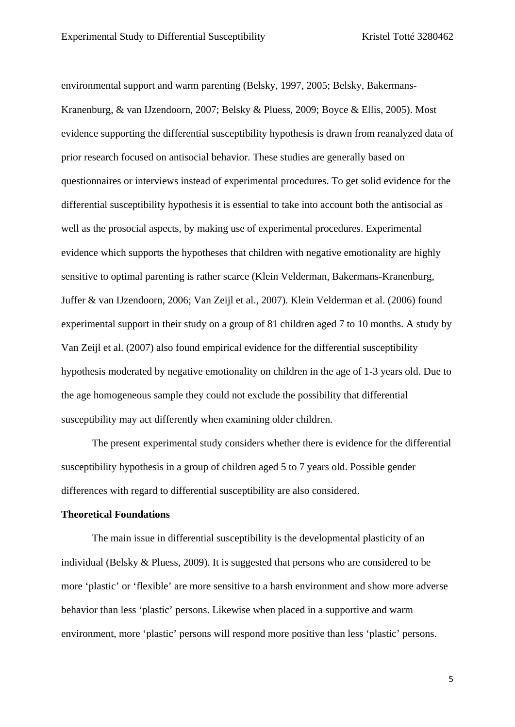environmental support and warm parenting (Belsky, 1997, 2005; Belsky, Bakermans-Kranenburg, & van IJzendoorn, 2007; Belsky & Pluess, 2009; Boyce & Ellis, 2005). Most evidence supporting the differential susceptibility hypothesis is drawn from reanalyzed data of prior research focused on antisocial behavior. These studies are generally based on questionnaires or interviews instead of experimental procedures. To get solid evidence for the differential susceptibility hypothesis it is essential to take into account both the antisocial as well as the prosocial aspects, by making use of experimental procedures. Experimental evidence which supports the hypotheses that children with negative emotionality are highly sensitive to optimal parenting is rather scarce (Klein Velderman, Bakermans-Kranenburg, Juffer & van IJzendoorn, 2006; Van Zeijl et al., 2007). Klein Velderman et al. (2006) found experimental support in their study on a group of 81 children aged 7 to 10 months. A study by Van Zeijl et al. (2007) also found empirical evidence for the differential susceptibility hypothesis moderated by negative emotionality on children in the age of 1-3 years old. Due to the age homogeneous sample they could not exclude the possibility that differential susceptibility may act differently when examining older children.

The present experimental study considers whether there is evidence for the differential susceptibility hypothesis in a group of children aged 5 to 7 years old. Possible gender differences with regard to differential susceptibility are also considered.

#### **Theoretical Foundations**

The main issue in differential susceptibility is the developmental plasticity of an individual (Belsky & Pluess, 2009). It is suggested that persons who are considered to be more 'plastic' or 'flexible' are more sensitive to a harsh environment and show more adverse behavior than less 'plastic' persons. Likewise when placed in a supportive and warm environment, more 'plastic' persons will respond more positive than less 'plastic' persons.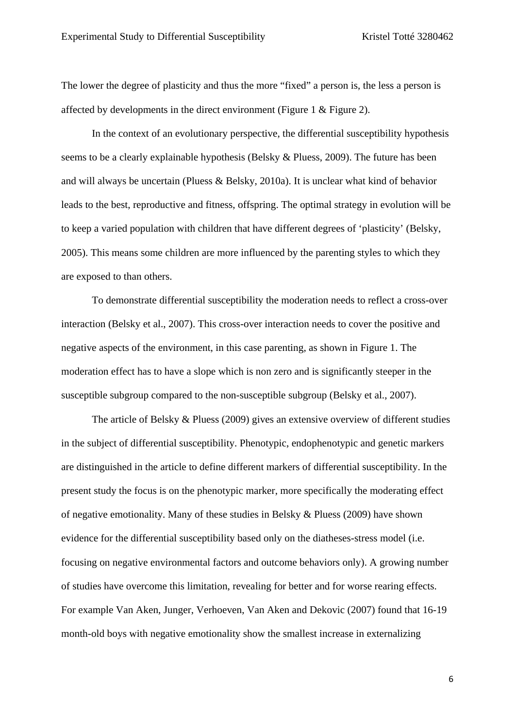The lower the degree of plasticity and thus the more "fixed" a person is, the less a person is affected by developments in the direct environment (Figure 1 & Figure 2).

In the context of an evolutionary perspective, the differential susceptibility hypothesis seems to be a clearly explainable hypothesis (Belsky & Pluess, 2009). The future has been and will always be uncertain (Pluess & Belsky, 2010a). It is unclear what kind of behavior leads to the best, reproductive and fitness, offspring. The optimal strategy in evolution will be to keep a varied population with children that have different degrees of 'plasticity' (Belsky, 2005). This means some children are more influenced by the parenting styles to which they are exposed to than others.

To demonstrate differential susceptibility the moderation needs to reflect a cross-over interaction (Belsky et al., 2007). This cross-over interaction needs to cover the positive and negative aspects of the environment, in this case parenting, as shown in Figure 1. The moderation effect has to have a slope which is non zero and is significantly steeper in the susceptible subgroup compared to the non-susceptible subgroup (Belsky et al., 2007).

The article of Belsky & Pluess (2009) gives an extensive overview of different studies in the subject of differential susceptibility. Phenotypic, endophenotypic and genetic markers are distinguished in the article to define different markers of differential susceptibility. In the present study the focus is on the phenotypic marker, more specifically the moderating effect of negative emotionality. Many of these studies in Belsky & Pluess (2009) have shown evidence for the differential susceptibility based only on the diatheses-stress model (i.e. focusing on negative environmental factors and outcome behaviors only). A growing number of studies have overcome this limitation, revealing for better and for worse rearing effects. For example Van Aken, Junger, Verhoeven, Van Aken and Dekovic (2007) found that 16-19 month-old boys with negative emotionality show the smallest increase in externalizing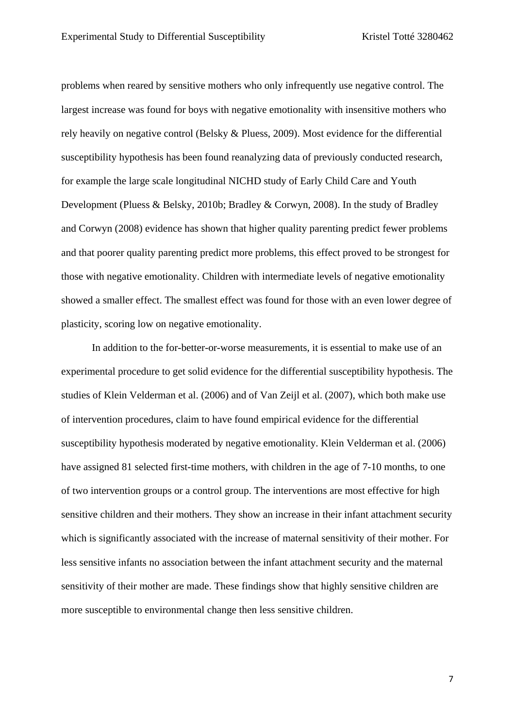problems when reared by sensitive mothers who only infrequently use negative control. The largest increase was found for boys with negative emotionality with insensitive mothers who rely heavily on negative control (Belsky & Pluess, 2009). Most evidence for the differential susceptibility hypothesis has been found reanalyzing data of previously conducted research, for example the large scale longitudinal NICHD study of Early Child Care and Youth Development (Pluess & Belsky, 2010b; Bradley & Corwyn, 2008). In the study of Bradley and Corwyn (2008) evidence has shown that higher quality parenting predict fewer problems and that poorer quality parenting predict more problems, this effect proved to be strongest for those with negative emotionality. Children with intermediate levels of negative emotionality showed a smaller effect. The smallest effect was found for those with an even lower degree of plasticity, scoring low on negative emotionality.

In addition to the for-better-or-worse measurements, it is essential to make use of an experimental procedure to get solid evidence for the differential susceptibility hypothesis. The studies of Klein Velderman et al. (2006) and of Van Zeijl et al. (2007), which both make use of intervention procedures, claim to have found empirical evidence for the differential susceptibility hypothesis moderated by negative emotionality. Klein Velderman et al. (2006) have assigned 81 selected first-time mothers, with children in the age of 7-10 months, to one of two intervention groups or a control group. The interventions are most effective for high sensitive children and their mothers. They show an increase in their infant attachment security which is significantly associated with the increase of maternal sensitivity of their mother. For less sensitive infants no association between the infant attachment security and the maternal sensitivity of their mother are made. These findings show that highly sensitive children are more susceptible to environmental change then less sensitive children.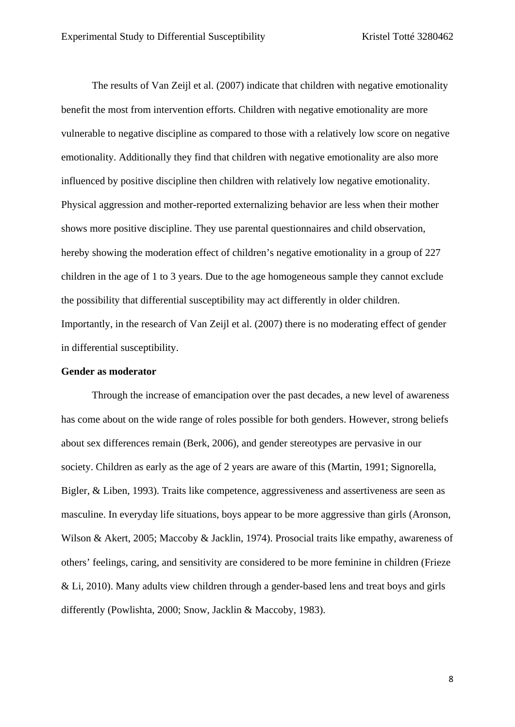The results of Van Zeijl et al. (2007) indicate that children with negative emotionality benefit the most from intervention efforts. Children with negative emotionality are more vulnerable to negative discipline as compared to those with a relatively low score on negative emotionality. Additionally they find that children with negative emotionality are also more influenced by positive discipline then children with relatively low negative emotionality. Physical aggression and mother-reported externalizing behavior are less when their mother shows more positive discipline. They use parental questionnaires and child observation, hereby showing the moderation effect of children's negative emotionality in a group of 227 children in the age of 1 to 3 years. Due to the age homogeneous sample they cannot exclude the possibility that differential susceptibility may act differently in older children. Importantly, in the research of Van Zeijl et al. (2007) there is no moderating effect of gender in differential susceptibility.

#### **Gender as moderator**

Through the increase of emancipation over the past decades, a new level of awareness has come about on the wide range of roles possible for both genders. However, strong beliefs about sex differences remain (Berk, 2006), and gender stereotypes are pervasive in our society. Children as early as the age of 2 years are aware of this (Martin, 1991; Signorella, Bigler, & Liben, 1993). Traits like competence, aggressiveness and assertiveness are seen as masculine. In everyday life situations, boys appear to be more aggressive than girls (Aronson, Wilson & Akert, 2005; Maccoby & Jacklin, 1974). Prosocial traits like empathy, awareness of others' feelings, caring, and sensitivity are considered to be more feminine in children (Frieze & Li, 2010). Many adults view children through a gender-based lens and treat boys and girls differently (Powlishta, 2000; Snow, Jacklin & Maccoby, 1983).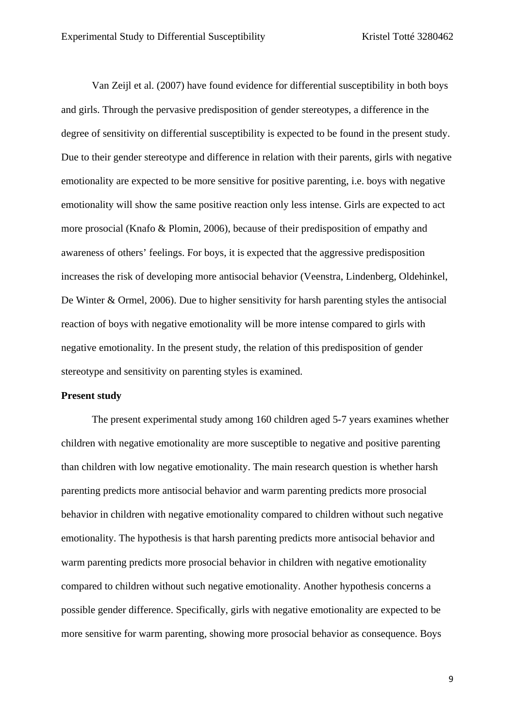Van Zeijl et al. (2007) have found evidence for differential susceptibility in both boys and girls. Through the pervasive predisposition of gender stereotypes, a difference in the degree of sensitivity on differential susceptibility is expected to be found in the present study. Due to their gender stereotype and difference in relation with their parents, girls with negative emotionality are expected to be more sensitive for positive parenting, i.e. boys with negative emotionality will show the same positive reaction only less intense. Girls are expected to act more prosocial (Knafo & Plomin, 2006), because of their predisposition of empathy and awareness of others' feelings. For boys, it is expected that the aggressive predisposition increases the risk of developing more antisocial behavior (Veenstra, Lindenberg, Oldehinkel, De Winter & Ormel, 2006). Due to higher sensitivity for harsh parenting styles the antisocial reaction of boys with negative emotionality will be more intense compared to girls with negative emotionality. In the present study, the relation of this predisposition of gender stereotype and sensitivity on parenting styles is examined.

#### **Present study**

The present experimental study among 160 children aged 5-7 years examines whether children with negative emotionality are more susceptible to negative and positive parenting than children with low negative emotionality. The main research question is whether harsh parenting predicts more antisocial behavior and warm parenting predicts more prosocial behavior in children with negative emotionality compared to children without such negative emotionality. The hypothesis is that harsh parenting predicts more antisocial behavior and warm parenting predicts more prosocial behavior in children with negative emotionality compared to children without such negative emotionality. Another hypothesis concerns a possible gender difference. Specifically, girls with negative emotionality are expected to be more sensitive for warm parenting, showing more prosocial behavior as consequence. Boys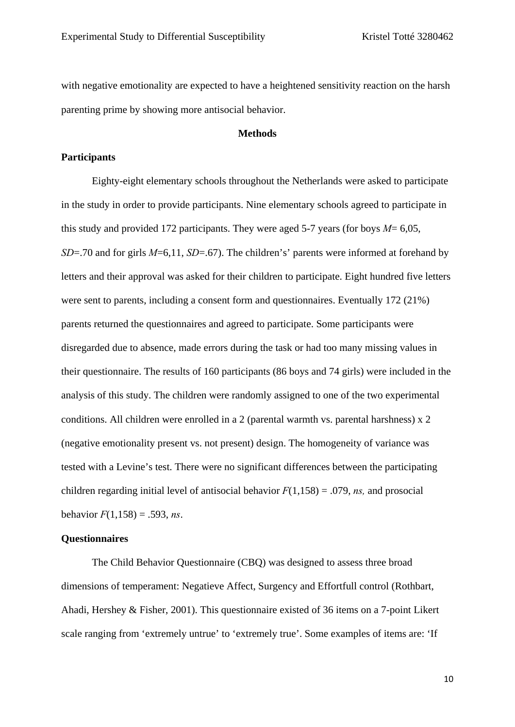with negative emotionality are expected to have a heightened sensitivity reaction on the harsh parenting prime by showing more antisocial behavior.

#### **Methods**

#### **Participants**

Eighty-eight elementary schools throughout the Netherlands were asked to participate in the study in order to provide participants. Nine elementary schools agreed to participate in this study and provided 172 participants. They were aged 5-7 years (for boys  $M=6,05$ , *SD*=.70 and for girls *M*=6,11, *SD*=.67). The children's' parents were informed at forehand by letters and their approval was asked for their children to participate. Eight hundred five letters were sent to parents, including a consent form and questionnaires. Eventually 172 (21%) parents returned the questionnaires and agreed to participate. Some participants were disregarded due to absence, made errors during the task or had too many missing values in their questionnaire. The results of 160 participants (86 boys and 74 girls) were included in the analysis of this study. The children were randomly assigned to one of the two experimental conditions. All children were enrolled in a 2 (parental warmth vs. parental harshness)  $x \, 2$ (negative emotionality present vs. not present) design. The homogeneity of variance was tested with a Levine's test. There were no significant differences between the participating children regarding initial level of antisocial behavior  $F(1,158) = .079$ , *ns*, and prosocial behavior  $F(1,158) = .593$ , *ns*.

#### **Questionnaires**

The Child Behavior Questionnaire (CBQ) was designed to assess three broad dimensions of temperament: Negatieve Affect, Surgency and Effortfull control (Rothbart, Ahadi, Hershey & Fisher, 2001). This questionnaire existed of 36 items on a 7-point Likert scale ranging from 'extremely untrue' to 'extremely true'. Some examples of items are: 'If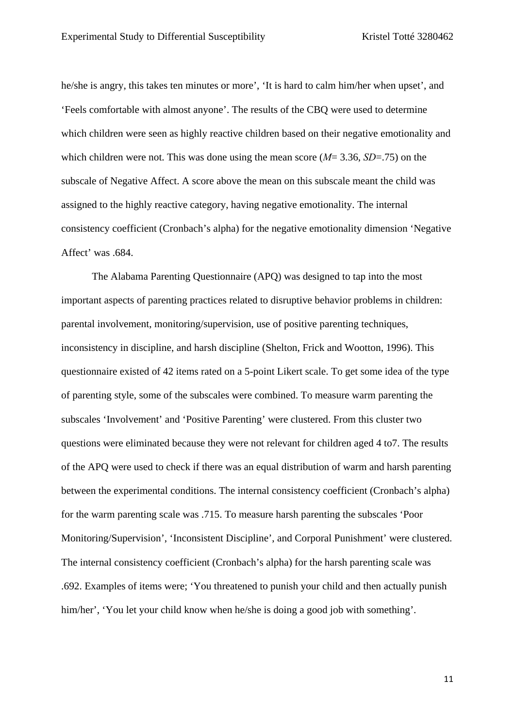he/she is angry, this takes ten minutes or more', 'It is hard to calm him/her when upset', and 'Feels comfortable with almost anyone'. The results of the CBQ were used to determine which children were seen as highly reactive children based on their negative emotionality and which children were not. This was done using the mean score (*M*= 3.36, *SD*=.75) on the subscale of Negative Affect. A score above the mean on this subscale meant the child was assigned to the highly reactive category, having negative emotionality. The internal consistency coefficient (Cronbach's alpha) for the negative emotionality dimension 'Negative Affect' was .684.

The Alabama Parenting Questionnaire (APQ) was designed to tap into the most important aspects of parenting practices related to disruptive behavior problems in children: parental involvement, monitoring/supervision, use of positive parenting techniques, inconsistency in discipline, and harsh discipline (Shelton, Frick and Wootton, 1996). This questionnaire existed of 42 items rated on a 5-point Likert scale. To get some idea of the type of parenting style, some of the subscales were combined. To measure warm parenting the subscales 'Involvement' and 'Positive Parenting' were clustered. From this cluster two questions were eliminated because they were not relevant for children aged 4 to7. The results of the APQ were used to check if there was an equal distribution of warm and harsh parenting between the experimental conditions. The internal consistency coefficient (Cronbach's alpha) for the warm parenting scale was .715. To measure harsh parenting the subscales 'Poor Monitoring/Supervision', 'Inconsistent Discipline', and Corporal Punishment' were clustered. The internal consistency coefficient (Cronbach's alpha) for the harsh parenting scale was .692. Examples of items were; 'You threatened to punish your child and then actually punish him/her', 'You let your child know when he/she is doing a good job with something'.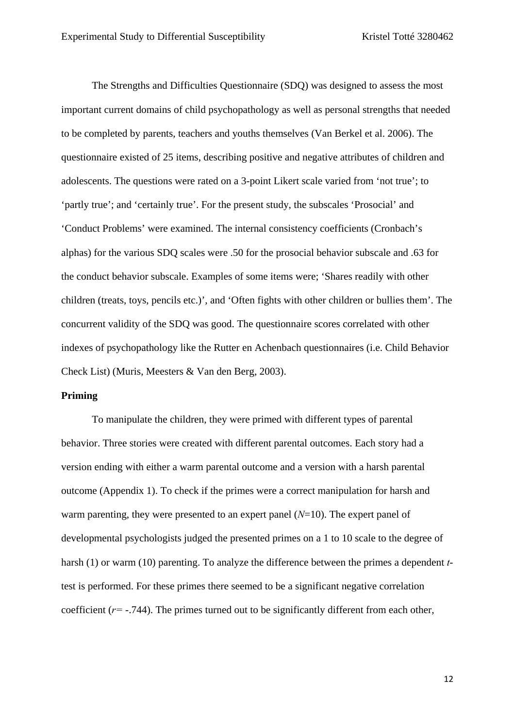The Strengths and Difficulties Questionnaire (SDQ) was designed to assess the most important current domains of child psychopathology as well as personal strengths that needed to be completed by parents, teachers and youths themselves (Van Berkel et al. 2006). The questionnaire existed of 25 items, describing positive and negative attributes of children and adolescents. The questions were rated on a 3-point Likert scale varied from 'not true'; to 'partly true'; and 'certainly true'. For the present study, the subscales 'Prosocial' and 'Conduct Problems' were examined. The internal consistency coefficients (Cronbach's alphas) for the various SDQ scales were .50 for the prosocial behavior subscale and .63 for the conduct behavior subscale. Examples of some items were; 'Shares readily with other children (treats, toys, pencils etc.)', and 'Often fights with other children or bullies them'. The concurrent validity of the SDQ was good. The questionnaire scores correlated with other indexes of psychopathology like the Rutter en Achenbach questionnaires (i.e. Child Behavior Check List) (Muris, Meesters & Van den Berg, 2003).

#### **Priming**

To manipulate the children, they were primed with different types of parental behavior. Three stories were created with different parental outcomes. Each story had a version ending with either a warm parental outcome and a version with a harsh parental outcome (Appendix 1). To check if the primes were a correct manipulation for harsh and warm parenting, they were presented to an expert panel (*N*=10). The expert panel of developmental psychologists judged the presented primes on a 1 to 10 scale to the degree of harsh (1) or warm (10) parenting. To analyze the difference between the primes a dependent *t*test is performed. For these primes there seemed to be a significant negative correlation coefficient (*r=* -.744). The primes turned out to be significantly different from each other,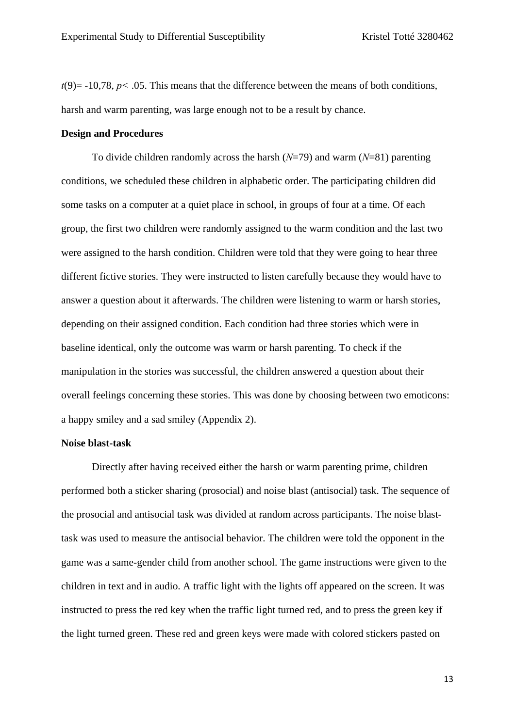$t(9)$  = -10,78,  $p$  < .05. This means that the difference between the means of both conditions, harsh and warm parenting, was large enough not to be a result by chance.

#### **Design and Procedures**

To divide children randomly across the harsh (*N*=79) and warm (*N*=81) parenting conditions, we scheduled these children in alphabetic order. The participating children did some tasks on a computer at a quiet place in school, in groups of four at a time. Of each group, the first two children were randomly assigned to the warm condition and the last two were assigned to the harsh condition. Children were told that they were going to hear three different fictive stories. They were instructed to listen carefully because they would have to answer a question about it afterwards. The children were listening to warm or harsh stories, depending on their assigned condition. Each condition had three stories which were in baseline identical, only the outcome was warm or harsh parenting. To check if the manipulation in the stories was successful, the children answered a question about their overall feelings concerning these stories. This was done by choosing between two emoticons: a happy smiley and a sad smiley (Appendix 2).

#### **Noise blast-task**

Directly after having received either the harsh or warm parenting prime, children performed both a sticker sharing (prosocial) and noise blast (antisocial) task. The sequence of the prosocial and antisocial task was divided at random across participants. The noise blasttask was used to measure the antisocial behavior. The children were told the opponent in the game was a same-gender child from another school. The game instructions were given to the children in text and in audio. A traffic light with the lights off appeared on the screen. It was instructed to press the red key when the traffic light turned red, and to press the green key if the light turned green. These red and green keys were made with colored stickers pasted on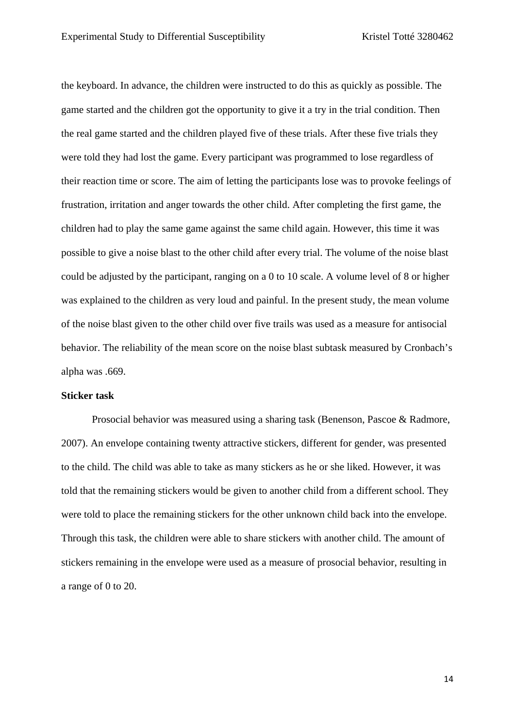the keyboard. In advance, the children were instructed to do this as quickly as possible. The game started and the children got the opportunity to give it a try in the trial condition. Then the real game started and the children played five of these trials. After these five trials they were told they had lost the game. Every participant was programmed to lose regardless of their reaction time or score. The aim of letting the participants lose was to provoke feelings of frustration, irritation and anger towards the other child. After completing the first game, the children had to play the same game against the same child again. However, this time it was possible to give a noise blast to the other child after every trial. The volume of the noise blast could be adjusted by the participant, ranging on a 0 to 10 scale. A volume level of 8 or higher was explained to the children as very loud and painful. In the present study, the mean volume of the noise blast given to the other child over five trails was used as a measure for antisocial behavior. The reliability of the mean score on the noise blast subtask measured by Cronbach's alpha was .669.

#### **Sticker task**

Prosocial behavior was measured using a sharing task (Benenson, Pascoe & Radmore, 2007). An envelope containing twenty attractive stickers, different for gender, was presented to the child. The child was able to take as many stickers as he or she liked. However, it was told that the remaining stickers would be given to another child from a different school. They were told to place the remaining stickers for the other unknown child back into the envelope. Through this task, the children were able to share stickers with another child. The amount of stickers remaining in the envelope were used as a measure of prosocial behavior, resulting in a range of 0 to 20.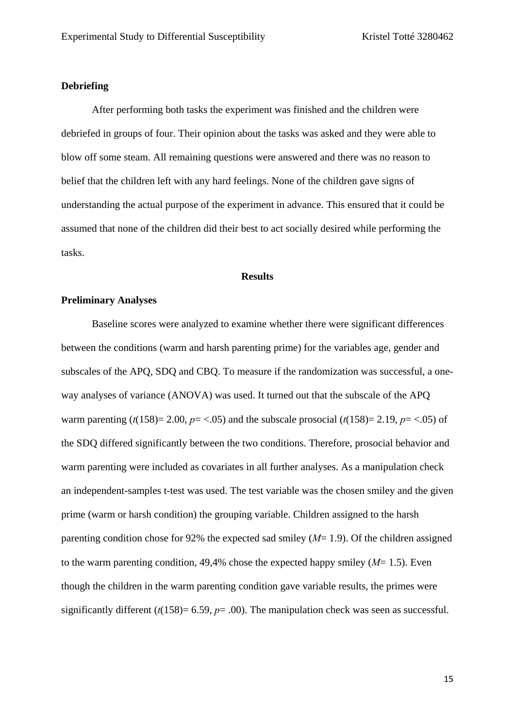#### **Debriefing**

After performing both tasks the experiment was finished and the children were debriefed in groups of four. Their opinion about the tasks was asked and they were able to blow off some steam. All remaining questions were answered and there was no reason to belief that the children left with any hard feelings. None of the children gave signs of understanding the actual purpose of the experiment in advance. This ensured that it could be assumed that none of the children did their best to act socially desired while performing the tasks.

#### **Results**

#### **Preliminary Analyses**

Baseline scores were analyzed to examine whether there were significant differences between the conditions (warm and harsh parenting prime) for the variables age, gender and subscales of the APQ, SDQ and CBQ. To measure if the randomization was successful, a oneway analyses of variance (ANOVA) was used. It turned out that the subscale of the APQ warm parenting  $(t(158)=2.00, p=<.05)$  and the subscale prosocial  $(t(158)=2.19, p=<.05)$  of the SDQ differed significantly between the two conditions. Therefore, prosocial behavior and warm parenting were included as covariates in all further analyses. As a manipulation check an independent-samples t-test was used. The test variable was the chosen smiley and the given prime (warm or harsh condition) the grouping variable. Children assigned to the harsh parenting condition chose for 92% the expected sad smiley (*M*= 1.9). Of the children assigned to the warm parenting condition, 49,4% chose the expected happy smiley  $(M=1.5)$ . Even though the children in the warm parenting condition gave variable results, the primes were significantly different ( $t(158)= 6.59$ ,  $p= .00$ ). The manipulation check was seen as successful.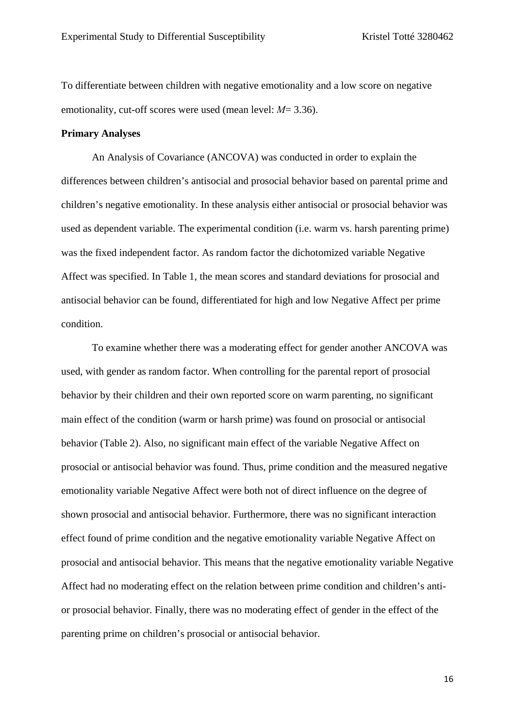To differentiate between children with negative emotionality and a low score on negative emotionality, cut-off scores were used (mean level: *M*= 3.36).

#### **Primary Analyses**

An Analysis of Covariance (ANCOVA) was conducted in order to explain the differences between children's antisocial and prosocial behavior based on parental prime and children's negative emotionality. In these analysis either antisocial or prosocial behavior was used as dependent variable. The experimental condition (i.e. warm vs. harsh parenting prime) was the fixed independent factor. As random factor the dichotomized variable Negative Affect was specified. In Table 1, the mean scores and standard deviations for prosocial and antisocial behavior can be found, differentiated for high and low Negative Affect per prime condition.

To examine whether there was a moderating effect for gender another ANCOVA was used, with gender as random factor. When controlling for the parental report of prosocial behavior by their children and their own reported score on warm parenting, no significant main effect of the condition (warm or harsh prime) was found on prosocial or antisocial behavior (Table 2). Also, no significant main effect of the variable Negative Affect on prosocial or antisocial behavior was found. Thus, prime condition and the measured negative emotionality variable Negative Affect were both not of direct influence on the degree of shown prosocial and antisocial behavior. Furthermore, there was no significant interaction effect found of prime condition and the negative emotionality variable Negative Affect on prosocial and antisocial behavior. This means that the negative emotionality variable Negative Affect had no moderating effect on the relation between prime condition and children's antior prosocial behavior. Finally, there was no moderating effect of gender in the effect of the parenting prime on children's prosocial or antisocial behavior.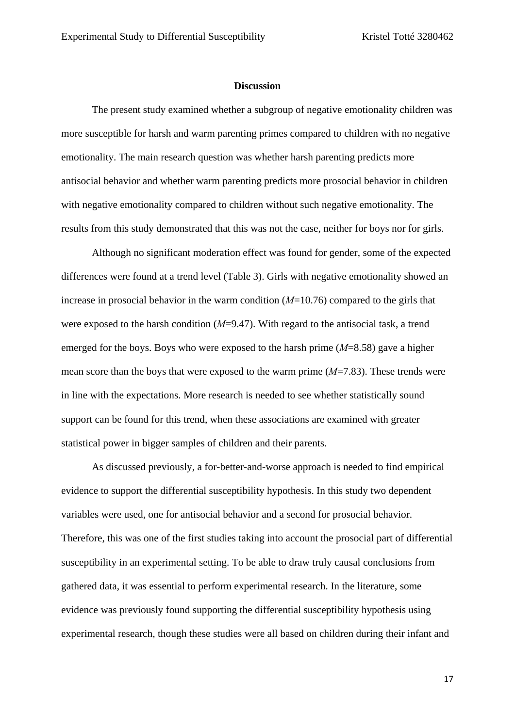#### **Discussion**

The present study examined whether a subgroup of negative emotionality children was more susceptible for harsh and warm parenting primes compared to children with no negative emotionality. The main research question was whether harsh parenting predicts more antisocial behavior and whether warm parenting predicts more prosocial behavior in children with negative emotionality compared to children without such negative emotionality. The results from this study demonstrated that this was not the case, neither for boys nor for girls.

Although no significant moderation effect was found for gender, some of the expected differences were found at a trend level (Table 3). Girls with negative emotionality showed an increase in prosocial behavior in the warm condition (*M*=10.76) compared to the girls that were exposed to the harsh condition (*M*=9.47). With regard to the antisocial task, a trend emerged for the boys. Boys who were exposed to the harsh prime (*M*=8.58) gave a higher mean score than the boys that were exposed to the warm prime (*M*=7.83). These trends were in line with the expectations. More research is needed to see whether statistically sound support can be found for this trend, when these associations are examined with greater statistical power in bigger samples of children and their parents.

As discussed previously, a for-better-and-worse approach is needed to find empirical evidence to support the differential susceptibility hypothesis. In this study two dependent variables were used, one for antisocial behavior and a second for prosocial behavior. Therefore, this was one of the first studies taking into account the prosocial part of differential susceptibility in an experimental setting. To be able to draw truly causal conclusions from gathered data, it was essential to perform experimental research. In the literature, some evidence was previously found supporting the differential susceptibility hypothesis using experimental research, though these studies were all based on children during their infant and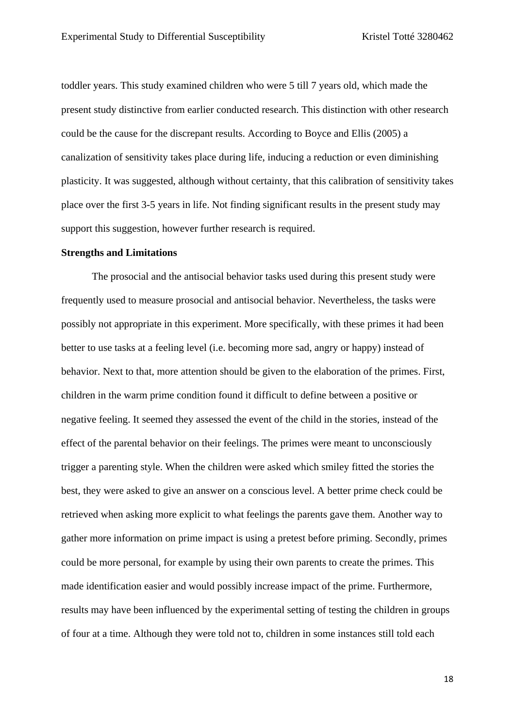toddler years. This study examined children who were 5 till 7 years old, which made the present study distinctive from earlier conducted research. This distinction with other research could be the cause for the discrepant results. According to Boyce and Ellis (2005) a canalization of sensitivity takes place during life, inducing a reduction or even diminishing plasticity. It was suggested, although without certainty, that this calibration of sensitivity takes place over the first 3-5 years in life. Not finding significant results in the present study may support this suggestion, however further research is required.

#### **Strengths and Limitations**

The prosocial and the antisocial behavior tasks used during this present study were frequently used to measure prosocial and antisocial behavior. Nevertheless, the tasks were possibly not appropriate in this experiment. More specifically, with these primes it had been better to use tasks at a feeling level (i.e. becoming more sad, angry or happy) instead of behavior. Next to that, more attention should be given to the elaboration of the primes. First, children in the warm prime condition found it difficult to define between a positive or negative feeling. It seemed they assessed the event of the child in the stories, instead of the effect of the parental behavior on their feelings. The primes were meant to unconsciously trigger a parenting style. When the children were asked which smiley fitted the stories the best, they were asked to give an answer on a conscious level. A better prime check could be retrieved when asking more explicit to what feelings the parents gave them. Another way to gather more information on prime impact is using a pretest before priming. Secondly, primes could be more personal, for example by using their own parents to create the primes. This made identification easier and would possibly increase impact of the prime. Furthermore, results may have been influenced by the experimental setting of testing the children in groups of four at a time. Although they were told not to, children in some instances still told each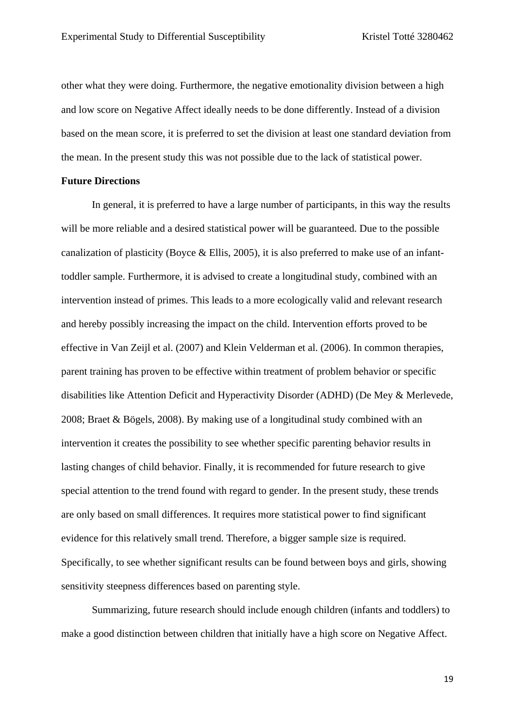other what they were doing. Furthermore, the negative emotionality division between a high and low score on Negative Affect ideally needs to be done differently. Instead of a division based on the mean score, it is preferred to set the division at least one standard deviation from the mean. In the present study this was not possible due to the lack of statistical power.

#### **Future Directions**

In general, it is preferred to have a large number of participants, in this way the results will be more reliable and a desired statistical power will be guaranteed. Due to the possible canalization of plasticity (Boyce & Ellis, 2005), it is also preferred to make use of an infanttoddler sample. Furthermore, it is advised to create a longitudinal study, combined with an intervention instead of primes. This leads to a more ecologically valid and relevant research and hereby possibly increasing the impact on the child. Intervention efforts proved to be effective in Van Zeijl et al. (2007) and Klein Velderman et al. (2006). In common therapies, parent training has proven to be effective within treatment of problem behavior or specific disabilities like Attention Deficit and Hyperactivity Disorder (ADHD) (De Mey & Merlevede, 2008; Braet & Bögels, 2008). By making use of a longitudinal study combined with an intervention it creates the possibility to see whether specific parenting behavior results in lasting changes of child behavior. Finally, it is recommended for future research to give special attention to the trend found with regard to gender. In the present study, these trends are only based on small differences. It requires more statistical power to find significant evidence for this relatively small trend. Therefore, a bigger sample size is required. Specifically, to see whether significant results can be found between boys and girls, showing sensitivity steepness differences based on parenting style.

Summarizing, future research should include enough children (infants and toddlers) to make a good distinction between children that initially have a high score on Negative Affect.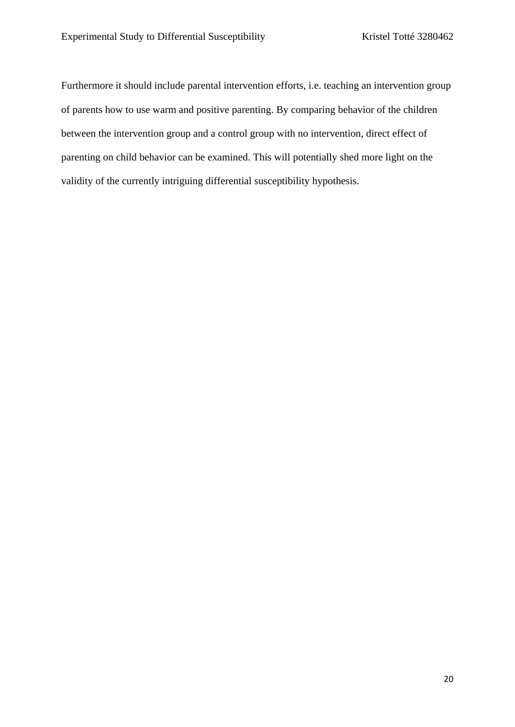Furthermore it should include parental intervention efforts, i.e. teaching an intervention group of parents how to use warm and positive parenting. By comparing behavior of the children between the intervention group and a control group with no intervention, direct effect of parenting on child behavior can be examined. This will potentially shed more light on the validity of the currently intriguing differential susceptibility hypothesis.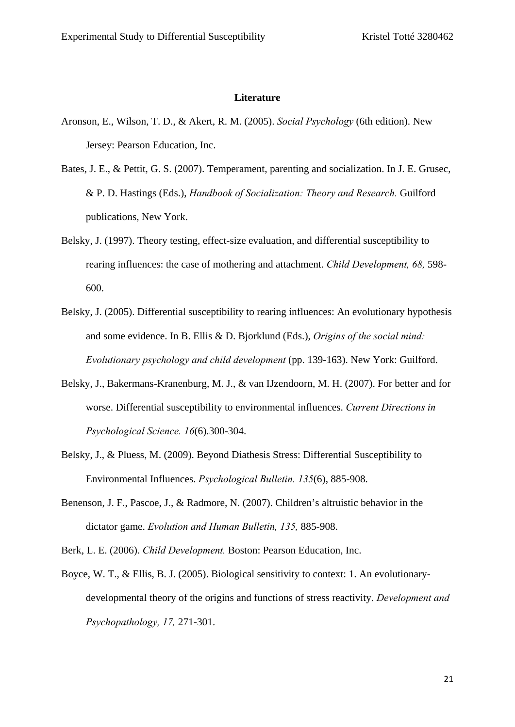#### **Literature**

- Aronson, E., Wilson, T. D., & Akert, R. M. (2005). *Social Psychology* (6th edition). New Jersey: Pearson Education, Inc.
- Bates, J. E., & Pettit, G. S. (2007). Temperament, parenting and socialization. In J. E. Grusec, & P. D. Hastings (Eds.), *Handbook of Socialization: Theory and Research.* Guilford publications, New York.
- Belsky, J. (1997). Theory testing, effect-size evaluation, and differential susceptibility to rearing influences: the case of mothering and attachment. *Child Development, 68,* 598- 600.
- Belsky, J. (2005). Differential susceptibility to rearing influences: An evolutionary hypothesis and some evidence. In B. Ellis & D. Bjorklund (Eds.), *Origins of the social mind: Evolutionary psychology and child development* (pp. 139-163). New York: Guilford.
- Belsky, J., Bakermans-Kranenburg, M. J., & van IJzendoorn, M. H. (2007). For better and for worse. Differential susceptibility to environmental influences. *Current Directions in Psychological Science. 16*(6).300-304.
- Belsky, J., & Pluess, M. (2009). Beyond Diathesis Stress: Differential Susceptibility to Environmental Influences. *Psychological Bulletin. 135*(6), 885-908.
- Benenson, J. F., Pascoe, J., & Radmore, N. (2007). Children's altruistic behavior in the dictator game. *Evolution and Human Bulletin, 135,* 885-908.

Berk, L. E. (2006). *Child Development.* Boston: Pearson Education, Inc.

Boyce, W. T., & Ellis, B. J. (2005). Biological sensitivity to context: 1. An evolutionarydevelopmental theory of the origins and functions of stress reactivity. *Development and Psychopathology, 17,* 271-301.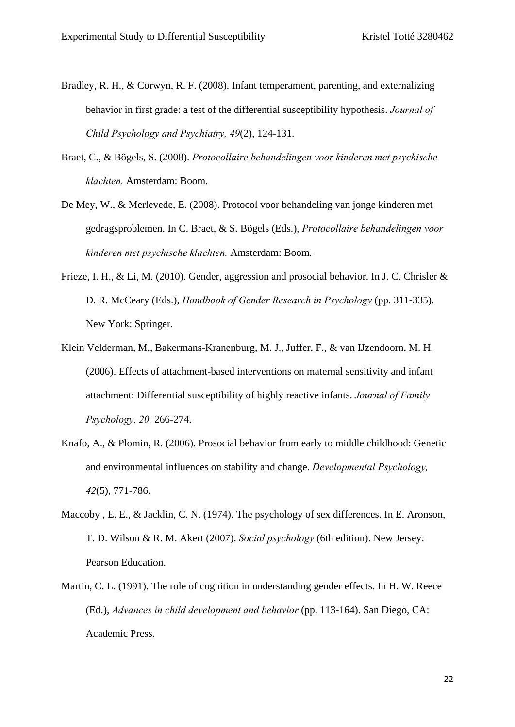- Bradley, R. H., & Corwyn, R. F. (2008). Infant temperament, parenting, and externalizing behavior in first grade: a test of the differential susceptibility hypothesis. *Journal of Child Psychology and Psychiatry, 49*(2), 124-131.
- Braet, C., & Bögels, S. (2008). *Protocollaire behandelingen voor kinderen met psychische klachten.* Amsterdam: Boom.
- De Mey, W., & Merlevede, E. (2008). Protocol voor behandeling van jonge kinderen met gedragsproblemen. In C. Braet, & S. Bögels (Eds.), *Protocollaire behandelingen voor kinderen met psychische klachten.* Amsterdam: Boom.
- Frieze, I. H., & Li, M. (2010). Gender, aggression and prosocial behavior. In J. C. Chrisler & D. R. McCeary (Eds.), *Handbook of Gender Research in Psychology* (pp. 311-335). New York: Springer.
- Klein Velderman, M., Bakermans-Kranenburg, M. J., Juffer, F., & van IJzendoorn, M. H. (2006). Effects of attachment-based interventions on maternal sensitivity and infant attachment: Differential susceptibility of highly reactive infants. *Journal of Family Psychology, 20,* 266-274.
- Knafo, A., & Plomin, R. (2006). Prosocial behavior from early to middle childhood: Genetic and environmental influences on stability and change. *Developmental Psychology, 42*(5), 771-786.
- Maccoby , E. E., & Jacklin, C. N. (1974). The psychology of sex differences. In E. Aronson, T. D. Wilson & R. M. Akert (2007). *Social psychology* (6th edition). New Jersey: Pearson Education.
- Martin, C. L. (1991). The role of cognition in understanding gender effects. In H. W. Reece (Ed.), *Advances in child development and behavior* (pp. 113-164). San Diego, CA: Academic Press.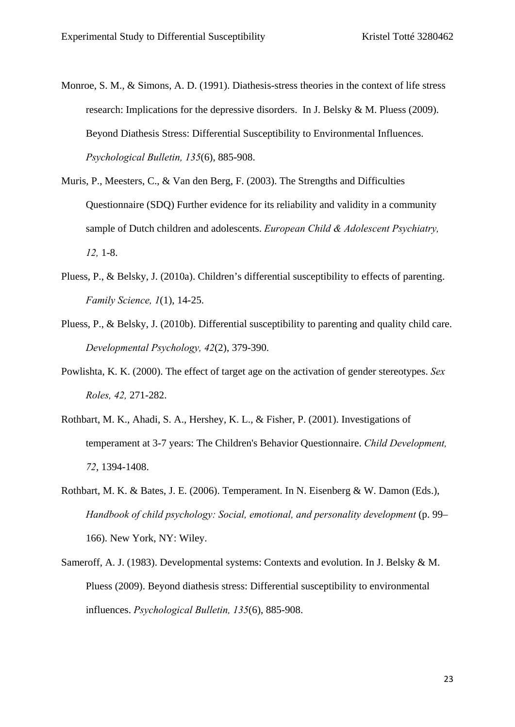- Monroe, S. M., & Simons, A. D. (1991). Diathesis-stress theories in the context of life stress research: Implications for the depressive disorders. In J. Belsky & M. Pluess (2009). Beyond Diathesis Stress: Differential Susceptibility to Environmental Influences. *Psychological Bulletin, 135*(6), 885-908.
- Muris, P., Meesters, C., & Van den Berg, F. (2003). The Strengths and Difficulties Questionnaire (SDQ) Further evidence for its reliability and validity in a community sample of Dutch children and adolescents. *European Child & Adolescent Psychiatry, 12,* 1-8.
- Pluess, P., & Belsky, J. (2010a). Children's differential susceptibility to effects of parenting. *Family Science, 1*(1), 14-25.
- Pluess, P., & Belsky, J. (2010b). Differential susceptibility to parenting and quality child care. *Developmental Psychology, 42*(2), 379-390.
- Powlishta, K. K. (2000). The effect of target age on the activation of gender stereotypes. *Sex Roles, 42,* 271-282.
- Rothbart, M. K., Ahadi, S. A., Hershey, K. L., & Fisher, P. (2001). Investigations of temperament at 3-7 years: The Children's Behavior Questionnaire. *Child Development, 72*, 1394-1408.
- Rothbart, M. K. & Bates, J. E. (2006). Temperament. In N. Eisenberg & W. Damon (Eds.), *Handbook of child psychology: Social, emotional, and personality development* (p. 99– 166). New York, NY: Wiley.
- Sameroff, A. J. (1983). Developmental systems: Contexts and evolution. In J. Belsky & M. Pluess (2009). Beyond diathesis stress: Differential susceptibility to environmental influences. *Psychological Bulletin, 135*(6), 885-908.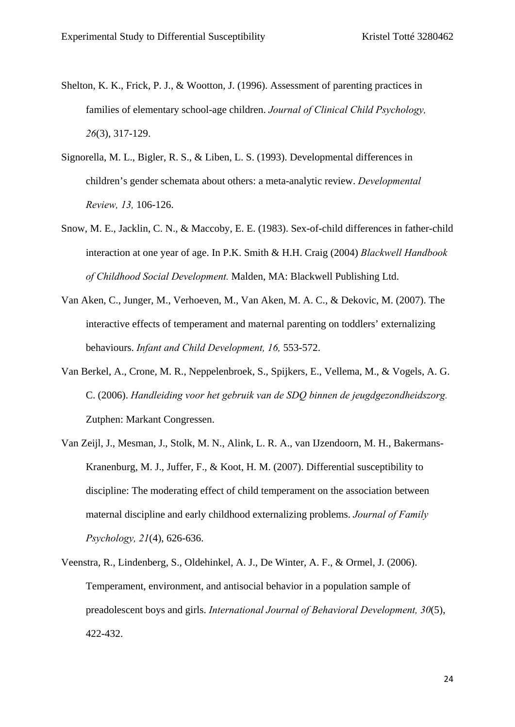- Shelton, K. K., Frick, P. J., & Wootton, J. (1996). Assessment of parenting practices in families of elementary school-age children. *Journal of Clinical Child Psychology, 26*(3), 317-129.
- Signorella, M. L., Bigler, R. S., & Liben, L. S. (1993). Developmental differences in children's gender schemata about others: a meta-analytic review. *Developmental Review, 13,* 106-126.
- Snow, M. E., Jacklin, C. N., & Maccoby, E. E. (1983). Sex-of-child differences in father-child interaction at one year of age. In P.K. Smith & H.H. Craig (2004) *Blackwell Handbook of Childhood Social Development.* Malden, MA: Blackwell Publishing Ltd.
- Van Aken, C., Junger, M., Verhoeven, M., Van Aken, M. A. C., & Dekovic, M. (2007). The interactive effects of temperament and maternal parenting on toddlers' externalizing behaviours. *Infant and Child Development, 16,* 553-572.
- Van Berkel, A., Crone, M. R., Neppelenbroek, S., Spijkers, E., Vellema, M., & Vogels, A. G. C. (2006). *Handleiding voor het gebruik van de SDQ binnen de jeugdgezondheidszorg.* Zutphen: Markant Congressen.
- Van Zeijl, J., Mesman, J., Stolk, M. N., Alink, L. R. A., van IJzendoorn, M. H., Bakermans-Kranenburg, M. J., Juffer, F., & Koot, H. M. (2007). Differential susceptibility to discipline: The moderating effect of child temperament on the association between maternal discipline and early childhood externalizing problems. *Journal of Family Psychology, 21*(4), 626-636.
- Veenstra, R., Lindenberg, S., Oldehinkel, A. J., De Winter, A. F., & Ormel, J. (2006). Temperament, environment, and antisocial behavior in a population sample of preadolescent boys and girls. *International Journal of Behavioral Development, 30*(5), 422-432.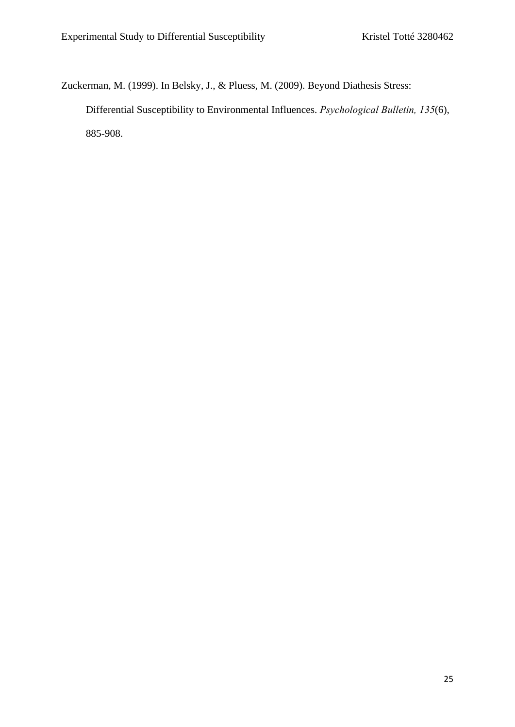Zuckerman, M. (1999). In Belsky, J., & Pluess, M. (2009). Beyond Diathesis Stress:

Differential Susceptibility to Environmental Influences. *Psychological Bulletin, 135*(6), 885-908.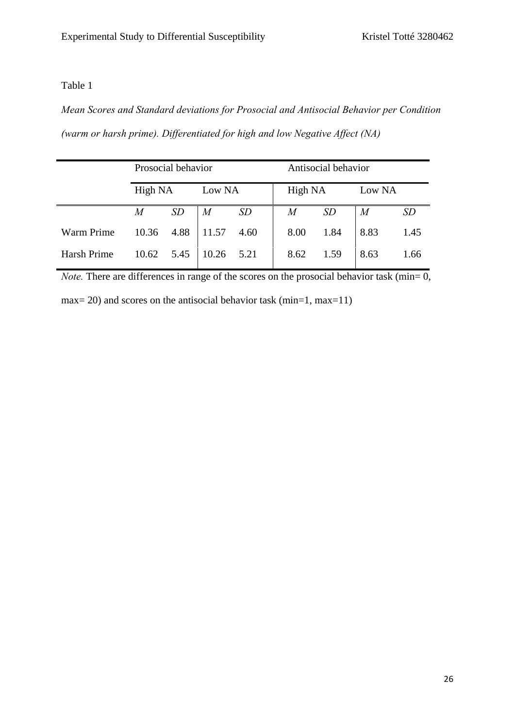## Table 1

*Mean Scores and Standard deviations for Prosocial and Antisocial Behavior per Condition (warm or harsh prime). Differentiated for high and low Negative Affect (NA)*

|             | Prosocial behavior |           |        |           | Antisocial behavior |      |          |           |  |
|-------------|--------------------|-----------|--------|-----------|---------------------|------|----------|-----------|--|
|             | High NA            |           | Low NA |           | High NA             |      | Low NA   |           |  |
|             | M                  | <i>SD</i> | M      | <i>SD</i> | M                   | SD   | $\it{M}$ | <i>SD</i> |  |
| Warm Prime  | 10.36              | 4.88      | 11.57  | 4.60      | 8.00                | 1.84 | 8.83     | 1.45      |  |
| Harsh Prime | 10.62              | 5.45      | 10.26  | 5.21      | 8.62                | 1.59 | 8.63     | 1.66      |  |

*Note.* There are differences in range of the scores on the prosocial behavior task (min=  $\overline{0}$ ,

max= 20) and scores on the antisocial behavior task (min=1, max=11)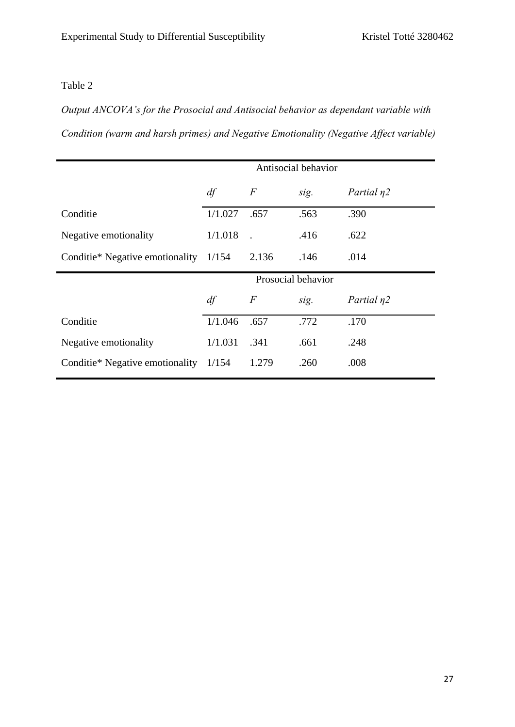## Table 2

*Output ANCOVA's for the Prosocial and Antisocial behavior as dependant variable with Condition (warm and harsh primes) and Negative Emotionality (Negative Affect variable)*

|                                       | Antisocial behavior |       |      |                  |  |  |
|---------------------------------------|---------------------|-------|------|------------------|--|--|
|                                       | df                  | $\,F$ | sig. | Partial $\eta$ 2 |  |  |
| Conditie                              | 1/1.027             | .657  | .563 | .390             |  |  |
| Negative emotionality                 | 1/1.018             |       | .416 | .622             |  |  |
| Conditie* Negative emotionality 1/154 |                     | 2.136 | .146 | .014             |  |  |
|                                       | Prosocial behavior  |       |      |                  |  |  |
|                                       | df                  | $\,F$ | sig. | Partial $\eta$ 2 |  |  |
| Conditie                              | 1/1.046             | .657  | .772 | .170             |  |  |
| Negative emotionality                 | 1/1.031             | .341  | .661 | .248             |  |  |
| Conditie* Negative emotionality       | 1/154               | 1.279 | .260 | .008             |  |  |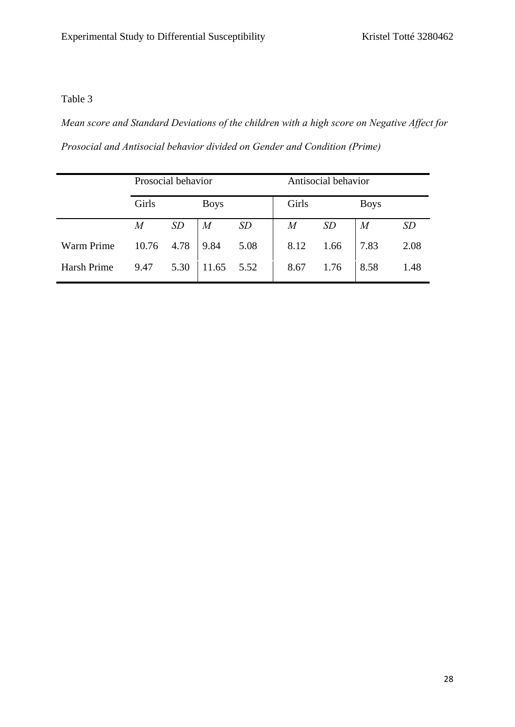## Table 3

*Mean score and Standard Deviations of the children with a high score on Negative Affect for Prosocial and Antisocial behavior divided on Gender and Condition (Prime)*

|             | Prosocial behavior |      |                  |      | Antisocial behavior |      |                  |      |
|-------------|--------------------|------|------------------|------|---------------------|------|------------------|------|
|             | Girls              |      | <b>Boys</b>      |      | Girls               |      | <b>Boys</b>      |      |
|             | $\overline{M}$     | SD   | $\boldsymbol{M}$ | SD   | $\overline{M}$      | SD   | $\boldsymbol{M}$ | SD   |
| Warm Prime  | 10.76              | 4.78 | 9.84             | 5.08 | 8.12                | 1.66 | 7.83             | 2.08 |
| Harsh Prime | 9.47               | 5.30 | 11.65            | 5.52 | 8.67                | 1.76 | 8.58             | 1.48 |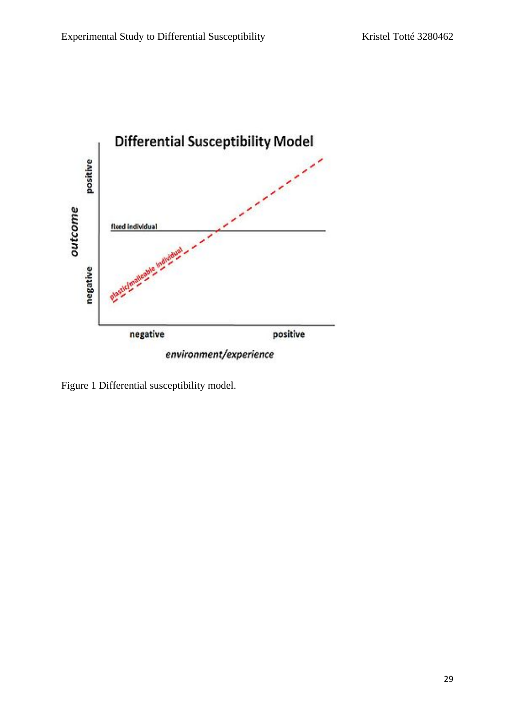

Figure 1 Differential susceptibility model.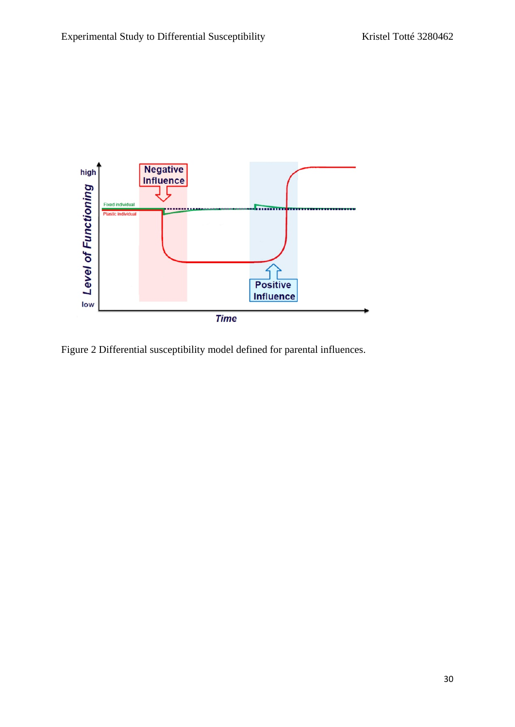

Figure 2 Differential susceptibility model defined for parental influences.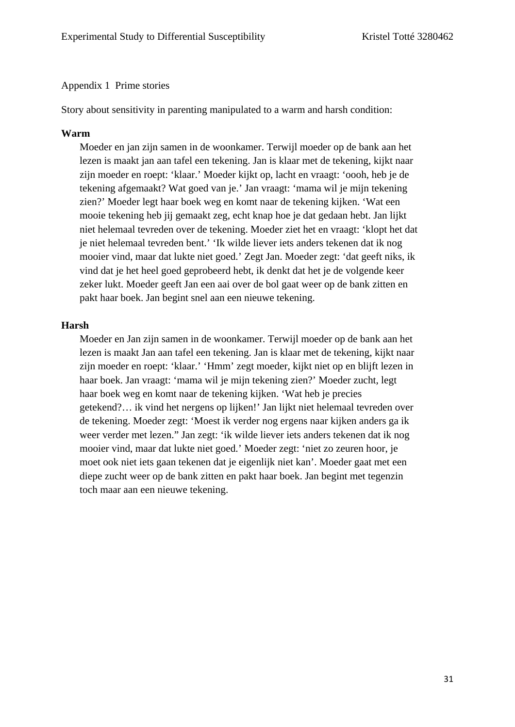#### Appendix 1 Prime stories

Story about sensitivity in parenting manipulated to a warm and harsh condition:

#### **Warm**

Moeder en jan zijn samen in de woonkamer. Terwijl moeder op de bank aan het lezen is maakt jan aan tafel een tekening. Jan is klaar met de tekening, kijkt naar zijn moeder en roept: 'klaar.' Moeder kijkt op, lacht en vraagt: 'oooh, heb je de tekening afgemaakt? Wat goed van je.' Jan vraagt: 'mama wil je mijn tekening zien?' Moeder legt haar boek weg en komt naar de tekening kijken. 'Wat een mooie tekening heb jij gemaakt zeg, echt knap hoe je dat gedaan hebt. Jan lijkt niet helemaal tevreden over de tekening. Moeder ziet het en vraagt: 'klopt het dat je niet helemaal tevreden bent.' 'Ik wilde liever iets anders tekenen dat ik nog mooier vind, maar dat lukte niet goed.' Zegt Jan. Moeder zegt: 'dat geeft niks, ik vind dat je het heel goed geprobeerd hebt, ik denkt dat het je de volgende keer zeker lukt. Moeder geeft Jan een aai over de bol gaat weer op de bank zitten en pakt haar boek. Jan begint snel aan een nieuwe tekening.

#### **Harsh**

Moeder en Jan zijn samen in de woonkamer. Terwijl moeder op de bank aan het lezen is maakt Jan aan tafel een tekening. Jan is klaar met de tekening, kijkt naar zijn moeder en roept: 'klaar.' 'Hmm' zegt moeder, kijkt niet op en blijft lezen in haar boek. Jan vraagt: 'mama wil je mijn tekening zien?' Moeder zucht, legt haar boek weg en komt naar de tekening kijken. 'Wat heb je precies getekend?… ik vind het nergens op lijken!' Jan lijkt niet helemaal tevreden over de tekening. Moeder zegt: 'Moest ik verder nog ergens naar kijken anders ga ik weer verder met lezen." Jan zegt: 'ik wilde liever iets anders tekenen dat ik nog mooier vind, maar dat lukte niet goed.' Moeder zegt: 'niet zo zeuren hoor, je moet ook niet iets gaan tekenen dat je eigenlijk niet kan'. Moeder gaat met een diepe zucht weer op de bank zitten en pakt haar boek. Jan begint met tegenzin toch maar aan een nieuwe tekening.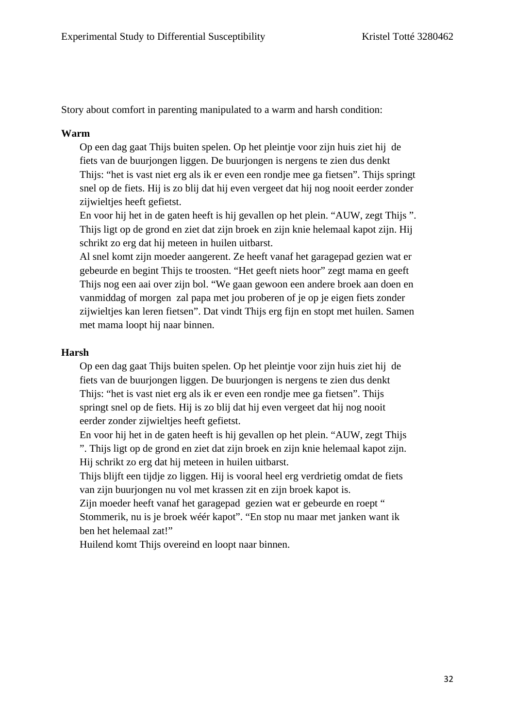Story about comfort in parenting manipulated to a warm and harsh condition:

### **Warm**

Op een dag gaat Thijs buiten spelen. Op het pleintje voor zijn huis ziet hij de fiets van de buurjongen liggen. De buurjongen is nergens te zien dus denkt Thijs: "het is vast niet erg als ik er even een rondje mee ga fietsen". Thijs springt snel op de fiets. Hij is zo blij dat hij even vergeet dat hij nog nooit eerder zonder zijwieltjes heeft gefietst.

En voor hij het in de gaten heeft is hij gevallen op het plein. "AUW, zegt Thijs ". Thijs ligt op de grond en ziet dat zijn broek en zijn knie helemaal kapot zijn. Hij schrikt zo erg dat hij meteen in huilen uitbarst.

Al snel komt zijn moeder aangerent. Ze heeft vanaf het garagepad gezien wat er gebeurde en begint Thijs te troosten. "Het geeft niets hoor" zegt mama en geeft Thijs nog een aai over zijn bol. "We gaan gewoon een andere broek aan doen en vanmiddag of morgen zal papa met jou proberen of je op je eigen fiets zonder zijwieltjes kan leren fietsen". Dat vindt Thijs erg fijn en stopt met huilen. Samen met mama loopt hij naar binnen.

### **Harsh**

Op een dag gaat Thijs buiten spelen. Op het pleintje voor zijn huis ziet hij de fiets van de buurjongen liggen. De buurjongen is nergens te zien dus denkt Thijs: "het is vast niet erg als ik er even een rondje mee ga fietsen". Thijs springt snel op de fiets. Hij is zo blij dat hij even vergeet dat hij nog nooit eerder zonder zijwieltjes heeft gefietst.

En voor hij het in de gaten heeft is hij gevallen op het plein. "AUW, zegt Thijs ". Thijs ligt op de grond en ziet dat zijn broek en zijn knie helemaal kapot zijn. Hij schrikt zo erg dat hij meteen in huilen uitbarst.

Thijs blijft een tijdje zo liggen. Hij is vooral heel erg verdrietig omdat de fiets van zijn buurjongen nu vol met krassen zit en zijn broek kapot is.

Zijn moeder heeft vanaf het garagepad gezien wat er gebeurde en roept " Stommerik, nu is je broek wéér kapot". "En stop nu maar met janken want ik ben het helemaal zat!"

Huilend komt Thijs overeind en loopt naar binnen.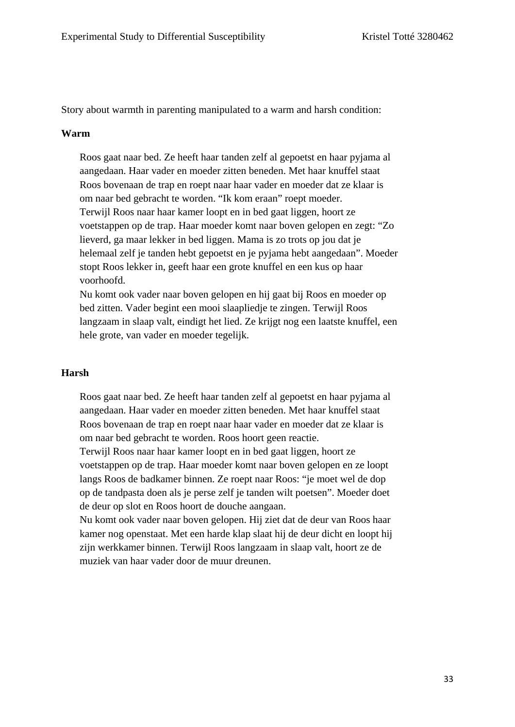Story about warmth in parenting manipulated to a warm and harsh condition:

#### **Warm**

Roos gaat naar bed. Ze heeft haar tanden zelf al gepoetst en haar pyjama al aangedaan. Haar vader en moeder zitten beneden. Met haar knuffel staat Roos bovenaan de trap en roept naar haar vader en moeder dat ze klaar is om naar bed gebracht te worden. "Ik kom eraan" roept moeder. Terwijl Roos naar haar kamer loopt en in bed gaat liggen, hoort ze voetstappen op de trap. Haar moeder komt naar boven gelopen en zegt: "Zo lieverd, ga maar lekker in bed liggen. Mama is zo trots op jou dat je helemaal zelf je tanden hebt gepoetst en je pyjama hebt aangedaan". Moeder stopt Roos lekker in, geeft haar een grote knuffel en een kus op haar voorhoofd.

Nu komt ook vader naar boven gelopen en hij gaat bij Roos en moeder op bed zitten. Vader begint een mooi slaapliedje te zingen. Terwijl Roos langzaam in slaap valt, eindigt het lied. Ze krijgt nog een laatste knuffel, een hele grote, van vader en moeder tegelijk.

#### **Harsh**

Roos gaat naar bed. Ze heeft haar tanden zelf al gepoetst en haar pyjama al aangedaan. Haar vader en moeder zitten beneden. Met haar knuffel staat Roos bovenaan de trap en roept naar haar vader en moeder dat ze klaar is om naar bed gebracht te worden. Roos hoort geen reactie.

Terwijl Roos naar haar kamer loopt en in bed gaat liggen, hoort ze voetstappen op de trap. Haar moeder komt naar boven gelopen en ze loopt langs Roos de badkamer binnen. Ze roept naar Roos: "je moet wel de dop op de tandpasta doen als je perse zelf je tanden wilt poetsen". Moeder doet de deur op slot en Roos hoort de douche aangaan.

Nu komt ook vader naar boven gelopen. Hij ziet dat de deur van Roos haar kamer nog openstaat. Met een harde klap slaat hij de deur dicht en loopt hij zijn werkkamer binnen. Terwijl Roos langzaam in slaap valt, hoort ze de muziek van haar vader door de muur dreunen.